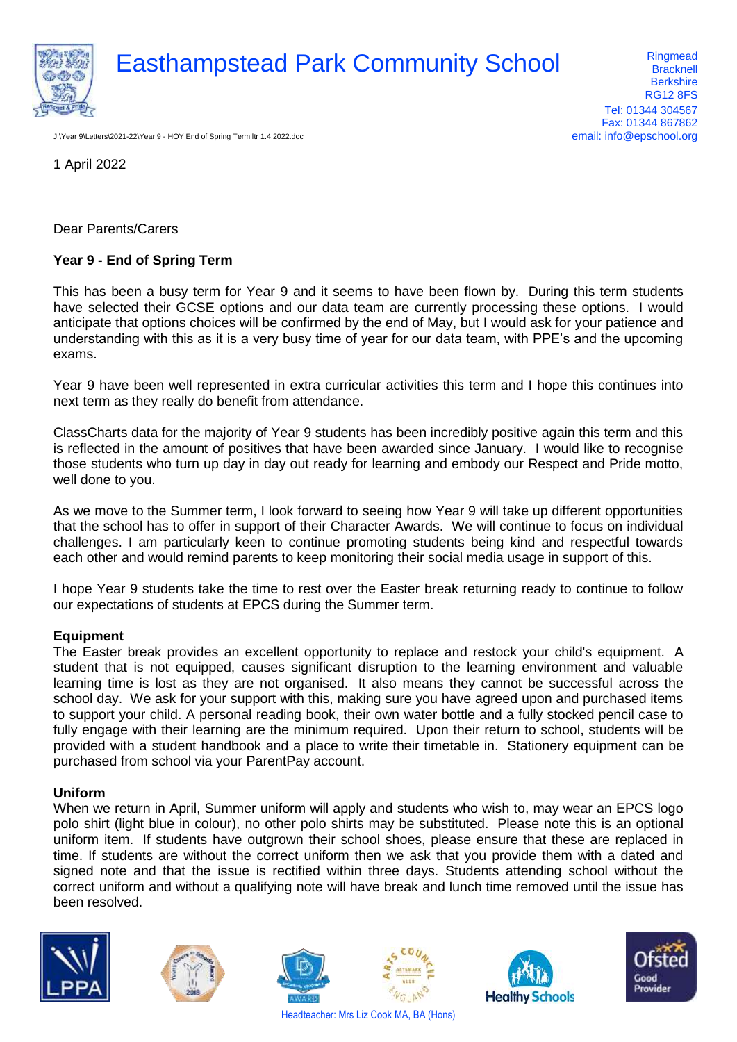

# Easthampstead Park Community School Ringmead Racknell

**Bracknell Berkshire** RG12 8FS Tel: 01344 304567 Fax: 01344 867862 email: info@epschool.org

J:\Year 9\Letters\2021-22\Year 9 - HOY End of Spring Term ltr 1.4.2022.doc

1 April 2022

Dear Parents/Carers

## **Year 9 - End of Spring Term**

This has been a busy term for Year 9 and it seems to have been flown by. During this term students have selected their GCSE options and our data team are currently processing these options. I would anticipate that options choices will be confirmed by the end of May, but I would ask for your patience and understanding with this as it is a very busy time of year for our data team, with PPE's and the upcoming exams.

Year 9 have been well represented in extra curricular activities this term and I hope this continues into next term as they really do benefit from attendance.

ClassCharts data for the majority of Year 9 students has been incredibly positive again this term and this is reflected in the amount of positives that have been awarded since January. I would like to recognise those students who turn up day in day out ready for learning and embody our Respect and Pride motto, well done to you.

As we move to the Summer term, I look forward to seeing how Year 9 will take up different opportunities that the school has to offer in support of their Character Awards. We will continue to focus on individual challenges. I am particularly keen to continue promoting students being kind and respectful towards each other and would remind parents to keep monitoring their social media usage in support of this.

I hope Year 9 students take the time to rest over the Easter break returning ready to continue to follow our expectations of students at EPCS during the Summer term.

## **Equipment**

The Easter break provides an excellent opportunity to replace and restock your child's equipment. A student that is not equipped, causes significant disruption to the learning environment and valuable learning time is lost as they are not organised. It also means they cannot be successful across the school day. We ask for your support with this, making sure you have agreed upon and purchased items to support your child. A personal reading book, their own water bottle and a fully stocked pencil case to fully engage with their learning are the minimum required. Upon their return to school, students will be provided with a student handbook and a place to write their timetable in. Stationery equipment can be purchased from school via your ParentPay account.

## **Uniform**

When we return in April, Summer uniform will apply and students who wish to, may wear an EPCS logo polo shirt (light blue in colour), no other polo shirts may be substituted. Please note this is an optional uniform item. If students have outgrown their school shoes, please ensure that these are replaced in time. If students are without the correct uniform then we ask that you provide them with a dated and signed note and that the issue is rectified within three days. Students attending school without the correct uniform and without a qualifying note will have break and lunch time removed until the issue has been resolved.











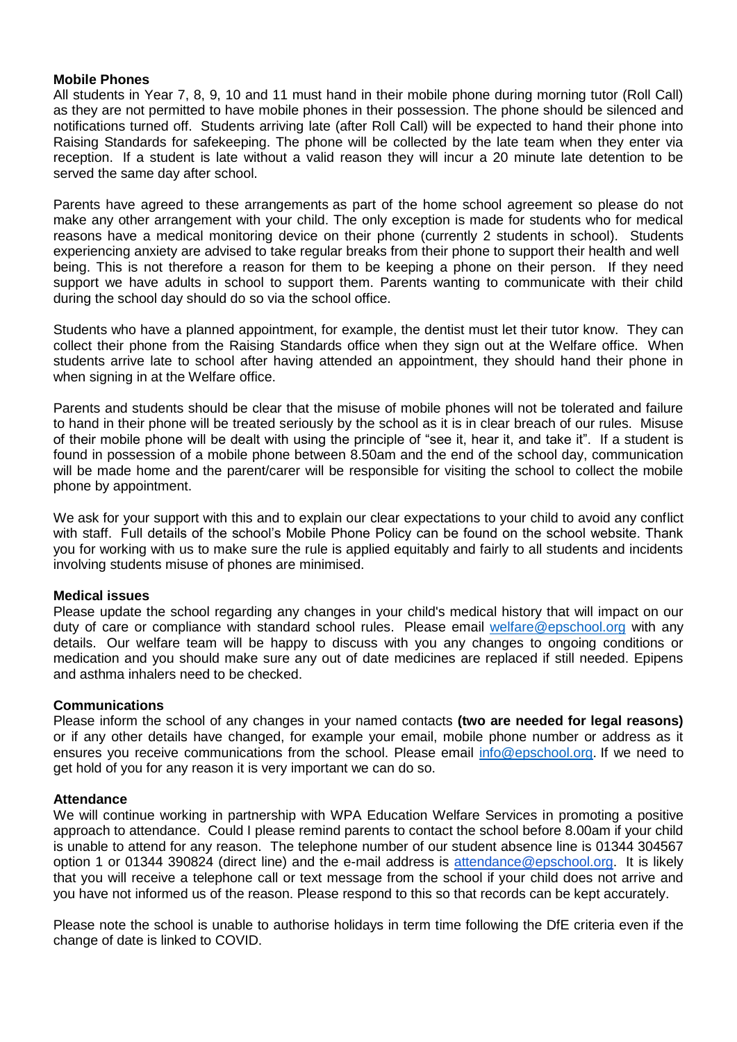#### **Mobile Phones**

All students in Year 7, 8, 9, 10 and 11 must hand in their mobile phone during morning tutor (Roll Call) as they are not permitted to have mobile phones in their possession. The phone should be silenced and notifications turned off. Students arriving late (after Roll Call) will be expected to hand their phone into Raising Standards for safekeeping. The phone will be collected by the late team when they enter via reception. If a student is late without a valid reason they will incur a 20 minute late detention to be served the same day after school.

Parents have agreed to these arrangements as part of the home school agreement so please do not make any other arrangement with your child. The only exception is made for students who for medical reasons have a medical monitoring device on their phone (currently 2 students in school). Students experiencing anxiety are advised to take regular breaks from their phone to support their health and well being. This is not therefore a reason for them to be keeping a phone on their person. If they need support we have adults in school to support them. Parents wanting to communicate with their child during the school day should do so via the school office.

Students who have a planned appointment, for example, the dentist must let their tutor know. They can collect their phone from the Raising Standards office when they sign out at the Welfare office. When students arrive late to school after having attended an appointment, they should hand their phone in when signing in at the Welfare office.

Parents and students should be clear that the misuse of mobile phones will not be tolerated and failure to hand in their phone will be treated seriously by the school as it is in clear breach of our rules. Misuse of their mobile phone will be dealt with using the principle of "see it, hear it, and take it". If a student is found in possession of a mobile phone between 8.50am and the end of the school day, communication will be made home and the parent/carer will be responsible for visiting the school to collect the mobile phone by appointment.

We ask for your support with this and to explain our clear expectations to your child to avoid any conflict with staff. Full details of the school's Mobile Phone Policy can be found on the school website. Thank you for working with us to make sure the rule is applied equitably and fairly to all students and incidents involving students misuse of phones are minimised.

## **Medical issues**

Please update the school regarding any changes in your child's medical history that will impact on our duty of care or compliance with standard school rules. Please email [welfare@epschool.org](mailto:welfare@epschool.org) with any details. Our welfare team will be happy to discuss with you any changes to ongoing conditions or medication and you should make sure any out of date medicines are replaced if still needed. Epipens and asthma inhalers need to be checked.

## **Communications**

Please inform the school of any changes in your named contacts **(two are needed for legal reasons)** or if any other details have changed, for example your email, mobile phone number or address as it ensures you receive communications from the school. Please email [info@epschool.org.](mailto:info@epschool.org) If we need to get hold of you for any reason it is very important we can do so.

#### **Attendance**

We will continue working in partnership with WPA Education Welfare Services in promoting a positive approach to attendance. Could I please remind parents to contact the school before 8.00am if your child is unable to attend for any reason. The telephone number of our student absence line is 01344 304567 option 1 or 01344 390824 (direct line) and the e-mail address is [attendance@epschool.org.](mailto:attendance@epschool.org) It is likely that you will receive a telephone call or text message from the school if your child does not arrive and you have not informed us of the reason. Please respond to this so that records can be kept accurately.

Please note the school is unable to authorise holidays in term time following the DfE criteria even if the change of date is linked to COVID.